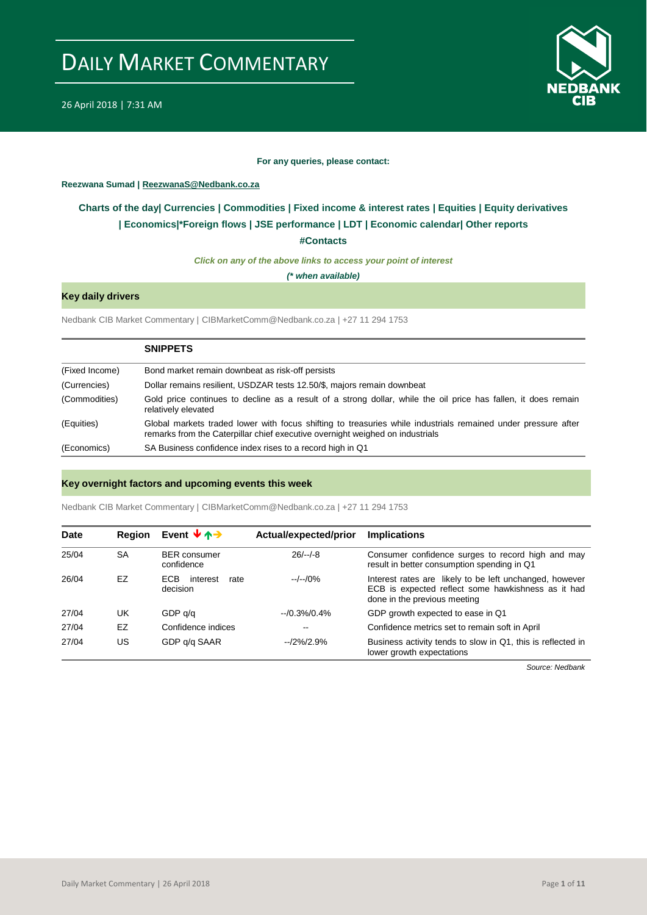

#### **For any queries, please contact:**

#### <span id="page-0-0"></span>**Reezwana Sumad | ReezwanaS@Nedbank.co.za**

### **Charts of the day| [Currencies](#page-2-0) [| Commodities](#page-3-0) | [Fixed income & interest rates](#page-1-0) | [Equities](#page-4-0) | Equity derivatives | [Economics|\\*](#page-7-0)Foreign flows [| JSE performance](#page-4-1) | [LDT](#page-5-0) | [Economic calendar|](#page-8-0) Other reports**

**[#Contacts](#page-9-0)**

*Click on any of the above links to access your point of interest*

*(\* when available)*

### **Key daily drivers**

Nedbank CIB Market Commentary | CIBMarketComm@Nedbank.co.za | +27 11 294 1753

|                | <b>SNIPPETS</b>                                                                                                                                                                                |
|----------------|------------------------------------------------------------------------------------------------------------------------------------------------------------------------------------------------|
| (Fixed Income) | Bond market remain downbeat as risk-off persists                                                                                                                                               |
| (Currencies)   | Dollar remains resilient, USDZAR tests 12.50/\$, majors remain downbeat                                                                                                                        |
| (Commodities)  | Gold price continues to decline as a result of a strong dollar, while the oil price has fallen, it does remain<br>relatively elevated                                                          |
| (Equities)     | Global markets traded lower with focus shifting to treasuries while industrials remained under pressure after<br>remarks from the Caterpillar chief executive overnight weighed on industrials |
| (Economics)    | SA Business confidence index rises to a record high in Q1                                                                                                                                      |

#### **Key overnight factors and upcoming events this week**

Nedbank CIB Market Commentary | CIBMarketComm@Nedbank.co.za | +27 11 294 1753

| <b>Date</b> | <b>Region</b> | Event $\forall \uparrow \rightarrow$       | Actual/expected/prior | <b>Implications</b>                                                                                                                           |
|-------------|---------------|--------------------------------------------|-----------------------|-----------------------------------------------------------------------------------------------------------------------------------------------|
| 25/04       | <b>SA</b>     | <b>BER</b> consumer<br>confidence          | $26/-/-8$             | Consumer confidence surges to record high and may<br>result in better consumption spending in Q1                                              |
| 26/04       | EZ            | <b>ECB</b><br>interest<br>rate<br>decision | $-/-/0\%$             | Interest rates are likely to be left unchanged, however<br>ECB is expected reflect some hawkishness as it had<br>done in the previous meeting |
| 27/04       | UK            | GDP q/q                                    | $-10.3\%/0.4\%$       | GDP growth expected to ease in Q1                                                                                                             |
| 27/04       | EZ            | Confidence indices                         | --                    | Confidence metrics set to remain soft in April                                                                                                |
| 27/04       | US            | GDP q/q SAAR                               | $-12\%/2.9\%$         | Business activity tends to slow in Q1, this is reflected in<br>lower growth expectations                                                      |

*Source: Nedbank*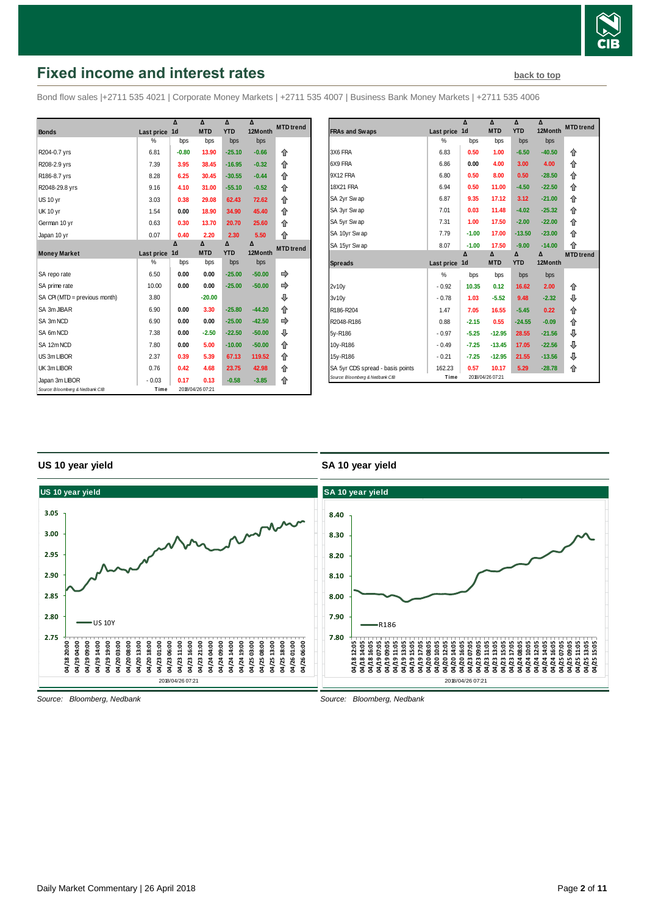

# <span id="page-1-0"></span>**Fixed income and interest rates [back to top](#page-0-0) back to top**

Bond flow sales |+2711 535 4021 | Corporate Money Markets | +2711 535 4007 | Business Bank Money Markets | +2711 535 4006

|                                 |               | Δ              | $\lambda$        | $\Lambda$  | $\Lambda$ | <b>MTD</b> trend |
|---------------------------------|---------------|----------------|------------------|------------|-----------|------------------|
| <b>Bonds</b>                    | Last price    | 1 <sub>d</sub> | <b>MTD</b>       | <b>YTD</b> | 12Month   |                  |
|                                 | $\frac{0}{2}$ | bps            | bps              | bps        | bps       |                  |
| R204-0.7 yrs                    | 6.81          | $-0.80$        | 13.90            | $-25.10$   | $-0.66$   | 合                |
| R208-2.9 yrs                    | 7.39          | 3.95           | 38.45            | $-16.95$   | $-0.32$   | 企                |
| R186-8.7 yrs                    | 8.28          | 6.25           | 30.45            | $-30.55$   | $-0.44$   | 企                |
| R2048-29.8 yrs                  | 9.16          | 4.10           | 31.00            | $-55.10$   | $-0.52$   | 企                |
| <b>US 10 vr</b>                 | 3.03          | 0.38           | 29.08            | 62.43      | 72.62     | 企                |
| <b>UK 10 yr</b>                 | 1.54          | 0.00           | 18.90            | 34.90      | 45.40     | 企                |
| German 10 yr                    | 0.63          | 0.30           | 13.70            | 20.70      | 25.60     | 企                |
| Japan 10 yr                     | 0.07          | 0.40           | 2.20             | 2.30       | 5.50      | 合                |
|                                 |               | Δ              | Δ                | Δ          | Δ         | <b>MTD</b> trend |
| <b>Money Market</b>             | Last price    | 1 <sub>d</sub> | <b>MTD</b>       | <b>YTD</b> | 12Month   |                  |
|                                 | %             | bps            | bps              | bps        | bps       |                  |
| SA repo rate                    | 6.50          | 0.00           | 0.00             | $-25.00$   | $-50.00$  | ⇛                |
| SA prime rate                   | 10.00         | 0.00           | 0.00             | $-25.00$   | $-50.00$  | ⇛                |
| SA CPI (MTD = previous month)   | 3.80          |                | $-20.00$         |            |           | ⊕                |
| SA 3m JIBAR                     | 6.90          | 0.00           | 3.30             | $-25.80$   | $-44.20$  | ⇑                |
| SA 3m NCD                       | 6.90          | 0.00           | 0.00             | $-25.00$   | $-42.50$  |                  |
| SA 6m NCD                       | 7.38          | 0.00           | $-2.50$          | $-22.50$   | $-50.00$  | ⊕                |
| SA 12m NCD                      | 7.80          | 0.00           | 5.00             | $-10.00$   | $-50.00$  | 合                |
| US 3m LIBOR                     | 2.37          | 0.39           | 5.39             | 67.13      | 119.52    | ⇑                |
| UK 3m LIBOR                     | 0.76          | 0.42           | 4.68             | 23.75      | 42.98     | ⇑                |
| Japan 3m LIBOR                  | $-0.03$       | 0.17           | 0.13             | $-0.58$    | $-3.85$   | 合                |
| Source: Bloomberg & Nedbank CIB | Time          |                | 2018/04/26 07:21 |            |           |                  |

|                                  |            | Δ                | Δ          | Δ          | Δ         | <b>MTD</b> trend |
|----------------------------------|------------|------------------|------------|------------|-----------|------------------|
| <b>FRAs and Swaps</b>            | Last price | 1 <sub>d</sub>   | <b>MTD</b> | <b>YTD</b> | 12Month   |                  |
|                                  | %          | bps              | bps        | bps        | bps       |                  |
| 3X6 FRA                          | 6.83       | 0.50             | 1.00       | $-6.50$    | $-40.50$  | 企                |
| 6X9 FRA                          | 6.86       | 0.00             | 4.00       | 3.00       | 4.00      | ⇑                |
| 9X12 FRA                         | 6.80       | 0.50             | 8.00       | 0.50       | $-28.50$  | ⇑                |
| <b>18X21 FRA</b>                 | 6.94       | 0.50             | 11.00      | $-4.50$    | $-22.50$  | ⇑                |
| SA 2yr Swap                      | 6.87       | 9.35             | 17.12      | 3.12       | $-21.00$  | ⇑                |
| SA 3yr Swap                      | 7.01       | 0.03             | 11.48      | $-4.02$    | $-25.32$  | ⇑                |
| SA 5yr Swap                      | 7.31       | 1.00             | 17.50      | $-2.00$    | $-22.00$  | ↟                |
| SA 10yr Swap                     | 7.79       | $-1.00$          | 17.00      | $-13.50$   | $-23.00$  | ⇑                |
| SA 15yr Swap                     | 8.07       | $-1.00$          | 17.50      | $-9.00$    | $-14.00$  | ⇑                |
|                                  |            | $\Lambda$        | Δ          | Δ          | $\Lambda$ | <b>MTD</b> trend |
| <b>Spreads</b>                   | Last price | 1d               | <b>MTD</b> | <b>YTD</b> | 12Month   |                  |
|                                  | %          | bps              | bps        | bps        | bps       |                  |
| 2v10v                            | $-0.92$    | 10.35            | 0.12       | 16.62      | 2.00      | 企                |
| 3v10v                            | $-0.78$    | 1.03             | $-5.52$    | 9.48       | $-2.32$   | ⊕                |
| R186-R204                        | 1.47       | 7.05             | 16.55      | $-5.45$    | 0.22      | ⇑                |
| R2048-R186                       | 0.88       | $-2.15$          | 0.55       | $-24.55$   | $-0.09$   | ⇑                |
| 5y-R186                          | $-0.97$    | $-5.25$          | $-12.95$   | 28.55      | $-21.56$  | ⊕                |
| 10y-R186                         | $-0.49$    | $-7.25$          | $-13.45$   | 17.05      | $-22.56$  | ⊕                |
| 15y-R186                         | $-0.21$    | $-7.25$          | $-12.95$   | 21.55      | $-13.56$  | ⊕                |
| SA 5yr CDS spread - basis points | 162.23     | 0.57             | 10.17      | 5.29       | $-28.78$  | ⇑                |
| Source: Bloomberg & Nedbank CIB  | Time       | 2018/04/26 07:21 |            |            |           |                  |

#### **US 10 year yield**

#### **SA 10 year yield**



*Source: Bloomberg, Nedbank*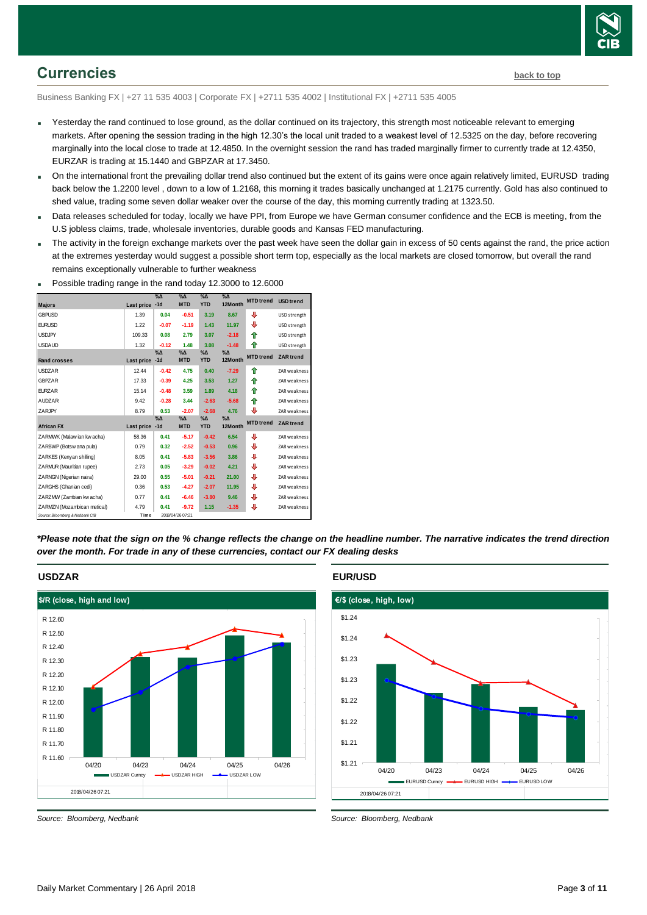

## <span id="page-2-0"></span>**Currencies [back to top](#page-0-0)**

Business Banking FX | +27 11 535 4003 | Corporate FX | +2711 535 4002 | Institutional FX | +2711 535 4005

- Yesterday the rand continued to lose ground, as the dollar continued on its trajectory, this strength most noticeable relevant to emerging markets. After opening the session trading in the high 12.30's the local unit traded to a weakest level of 12.5325 on the day, before recovering marginally into the local close to trade at 12.4850. In the overnight session the rand has traded marginally firmer to currently trade at 12.4350, EURZAR is trading at 15.1440 and GBPZAR at 17.3450.
- On the international front the prevailing dollar trend also continued but the extent of its gains were once again relatively limited, EURUSD trading back below the 1.2200 level , down to a low of 1.2168, this morning it trades basically unchanged at 1.2175 currently. Gold has also continued to shed value, trading some seven dollar weaker over the course of the day, this morning currently trading at 1323.50.
- Data releases scheduled for today, locally we have PPI, from Europe we have German consumer confidence and the ECB is meeting, from the U.S jobless claims, trade, wholesale inventories, durable goods and Kansas FED manufacturing.
- The activity in the foreign exchange markets over the past week have seen the dollar gain in excess of 50 cents against the rand, the price action at the extremes yesterday would suggest a possible short term top, especially as the local markets are closed tomorrow, but overall the rand remains exceptionally vulnerable to further weakness



**Possible trading range in the rand today 12.3000 to 12.6000** 

*\*Please note that the sign on the % change reflects the change on the headline number. The narrative indicates the trend direction over the month. For trade in any of these currencies, contact our FX dealing desks*

### **USDZAR**



*Source: Bloomberg, Nedbank*

#### **EUR/USD**

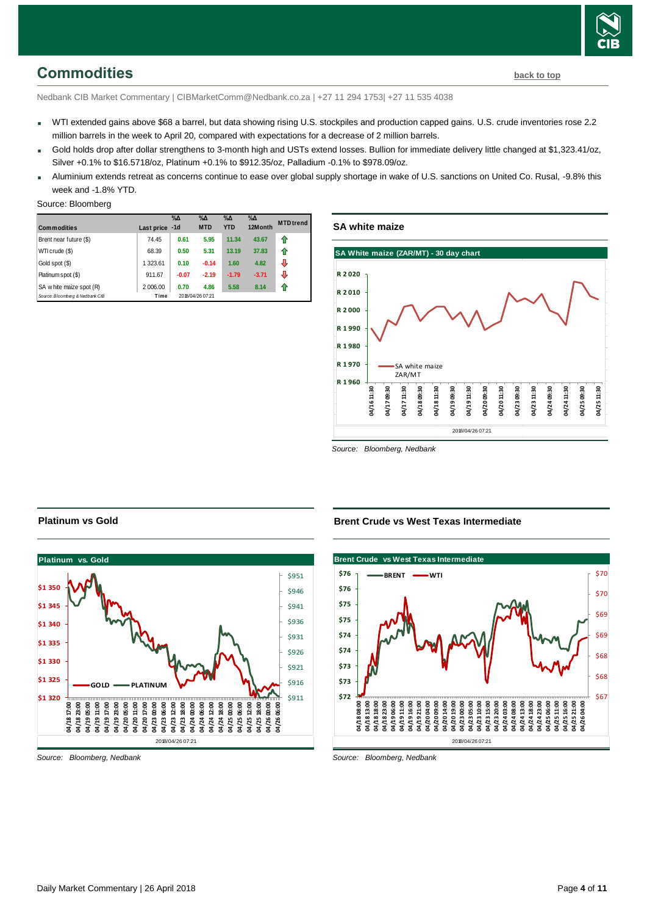

<span id="page-3-0"></span>Nedbank CIB Market Commentary | CIBMarketComm@Nedbank.co.za | +27 11 294 1753| +27 11 535 4038

- WTI extended gains above \$68 a barrel, but data showing rising U.S. stockpiles and production capped gains. U.S. crude inventories rose 2.2 million barrels in the week to April 20, compared with expectations for a decrease of 2 million barrels.
- Gold holds drop after dollar strengthens to 3-month high and USTs extend losses. Bullion for immediate delivery little changed at \$1,323.41/oz, Silver +0.1% to \$16.5718/oz, Platinum +0.1% to \$912.35/oz, Palladium -0.1% to \$978.09/oz.
- Aluminium extends retreat as concerns continue to ease over global supply shortage in wake of U.S. sanctions on United Co. Rusal, -9.8% this week and -1.8% YTD.

#### Source: Bloomberg

| <b>Commodities</b>              | Last price -1d | %       | $\%$ $\Delta$<br><b>MTD</b> | $\%$ $\Delta$<br><b>YTD</b> | $\%$ $\Delta$<br>12Month | <b>MTD</b> trend |
|---------------------------------|----------------|---------|-----------------------------|-----------------------------|--------------------------|------------------|
| Brent near future (\$)          | 74.45          | 0.61    | 5.95                        | 11.34                       | 43.67                    | ⇑                |
| WTI crude (\$)                  | 68.39          | 0.50    | 5.31                        | 13.19                       | 37.83                    | ⇑                |
| Gold spot (\$)                  | 1 323.61       | 0.10    | $-0.14$                     | 1.60                        | 4.82                     | ⊕                |
| Platinum spot (\$)              | 911.67         | $-0.07$ | $-2.19$                     | $-1.79$                     | $-3.71$                  | ⊕                |
| SA w hite maize spot (R)        | 2 006.00       | 0.70    | 4.86                        | 5.58                        | 8.14                     | ⇑                |
| Source: Bloomberg & Nedbank CIB | Time           |         | 2018/04/26 07:21            |                             |                          |                  |

## **SA white maize**



*Source: Bloomberg, Nedbank*

#### **Platinum vs Gold**



*Source: Bloomberg, Nedbank*

**Brent Crude vs West Texas Intermediate**

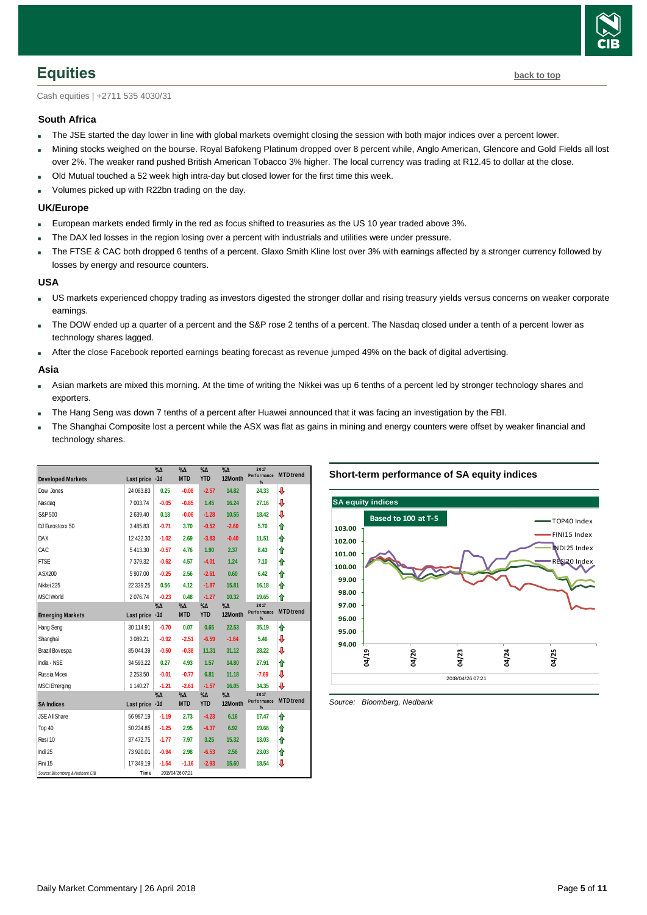

<span id="page-4-0"></span>Cash equities | +2711 535 4030/31

#### **South Africa**

- The JSE started the day lower in line with global markets overnight closing the session with both major indices over a percent lower.
- Mining stocks weighed on the bourse. Royal Bafokeng Platinum dropped over 8 percent while, Anglo American, Glencore and Gold Fields all lost over 2%. The weaker rand pushed British American Tobacco 3% higher. The local currency was trading at R12.45 to dollar at the close.
- Old Mutual touched a 52 week high intra-day but closed lower for the first time this week.
- **Volumes picked up with R22bn trading on the day.**

#### **UK/Europe**

- European markets ended firmly in the red as focus shifted to treasuries as the US 10 year traded above 3%.
- The DAX led losses in the region losing over a percent with industrials and utilities were under pressure.
- The FTSE & CAC both dropped 6 tenths of a percent. Glaxo Smith Kline lost over 3% with earnings affected by a stronger currency followed by losses by energy and resource counters.

#### **USA**

- US markets experienced choppy trading as investors digested the stronger dollar and rising treasury yields versus concerns on weaker corporate earnings.
- The DOW ended up a quarter of a percent and the S&P rose 2 tenths of a percent. The Nasdaq closed under a tenth of a percent lower as technology shares lagged.
- After the close Facebook reported earnings beating forecast as revenue jumped 49% on the back of digital advertising.

#### **Asia**

- Asian markets are mixed this morning. At the time of writing the Nikkei was up 6 tenths of a percent led by stronger technology shares and exporters.
- The Hang Seng was down 7 tenths of a percent after Huawei announced that it was facing an investigation by the FBI.
- The Shanghai Composite lost a percent while the ASX was flat as gains in mining and energy counters were offset by weaker financial and technology shares.

<span id="page-4-1"></span>

| <b>Developed Markets</b>        | Last price -1d | $\sqrt[9]{\Delta}$ | $\%$ $\Delta$<br><b>MTD</b> | $\sqrt{\Delta}$<br><b>YTD</b> | $\%$ $\Delta$<br>12Month | 2017<br>Performance<br>% | <b>MTD</b> trend |
|---------------------------------|----------------|--------------------|-----------------------------|-------------------------------|--------------------------|--------------------------|------------------|
| Dow Jones                       | 24 083.83      | 0.25               | $-0.08$                     | $-2.57$                       | 14.82                    | 24.33                    | ⇩                |
| Nasdag                          | 7 003.74       | $-0.05$            | $-0.85$                     | 1.45                          | 16.24                    | 27.16                    | ⇩                |
| S&P 500                         | 2639.40        | 0.18               | $-0.06$                     | $-1.28$                       | 10.55                    | 18.42                    | ⇩                |
| DJ Eurostoxx 50                 | 3485.83        | $-0.71$            | 3.70                        | $-0.52$                       | $-2.60$                  | 5.70                     | ⇑                |
| DAX                             | 12 422.30      | $-1.02$            | 2.69                        | $-3.83$                       | $-0.40$                  | 11.51                    | ⇑                |
| CAC                             | 5413.30        | $-0.57$            | 4.76                        | 1.90                          | 2.37                     | 8.43                     | ⇑                |
| <b>FTSE</b>                     | 7 379.32       | $-0.62$            | 4.57                        | $-4.01$                       | 1.24                     | 7.10                     | ⇑                |
| ASX200                          | 5 907.00       | $-0.25$            | 2.56                        | $-2.61$                       | 0.60                     | 6.42                     | ⇑                |
| Nikkei 225                      | 22 339.25      | 0.56               | 4.12                        | $-1.87$                       | 15.81                    | 16.18                    | ⇑                |
| <b>MSCI World</b>               | 2076.74        | $-0.23$            | 0.48                        | $-1.27$                       | 10.32                    | 19.65                    | ⇑                |
| <b>Emerging Markets</b>         | Last price -1d | $\%$ $\Delta$      | $\%$ $\Delta$<br><b>MTD</b> | $\% \Delta$<br><b>YTD</b>     | $\% \Delta$<br>12Month   | 2017<br>Performance<br>% | <b>MTD</b> trend |
| Hang Seng                       | 30 114.91      | $-0.70$            | 0.07                        | 0.65                          | 22.53                    | 35.19                    | ⇑                |
| Shanghai                        | 3 089.21       | $-0.92$            | $-2.51$                     | $-6.59$                       | $-1.64$                  | 5.46                     | J                |
| Brazil Bovespa                  | 85 044.39      | $-0.50$            | $-0.38$                     | 11.31                         | 31.12                    | 28.22                    | ⇩                |
| India - NSE                     | 34 593.22      | 0.27               | 4.93                        | 1.57                          | 14.80                    | 27.91                    | ⇑                |
| Russia Micex                    | 2 2 5 3 . 5 0  | $-0.01$            | $-0.77$                     | 6.81                          | 11.18                    | $-7.69$                  | ⊕                |
| <b>MSCI Emerging</b>            | 1 140.27       | $-1.21$            | $-2.61$                     | $-1.57$                       | 16.05                    | 34.35                    | ⇩                |
| <b>SA Indices</b>               | Last price -1d | $\%$ $\Delta$      | $\%$ $\Delta$<br><b>MTD</b> | $\%$ $\Delta$<br><b>YTD</b>   | $\% \Delta$<br>12Month   | 2017<br>Performance<br>% | <b>MTD</b> trend |
| <b>JSE All Share</b>            | 56 987 19      | $-1.19$            | 2.73                        | $-4.23$                       | 6.16                     | 17.47                    | ⇑                |
| Top 40                          | 50 234.85      | $-1.25$            | 2.95                        | $-4.37$                       | 6.92                     | 19.66                    | ↟                |
| Resi 10                         | 37 472.75      | $-1.77$            | 7.97                        | 3.25                          | 15.32                    | 13.03                    | ⇑                |
| Indi 25                         | 73 920.01      | $-0.94$            | 2.98                        | $-6.53$                       | 2.56                     | 23.03                    | ⇑                |
| Fini 15                         | 17 349.19      | $-1.54$            | $-1.16$                     | $-2.93$                       | 15.60                    | 18.54                    | J                |
| Source: Bloomberg & Nedbank CIB | Time           |                    | 2018/04/26 07:21            |                               |                          |                          |                  |

#### **Short-term performance of SA equity indices**

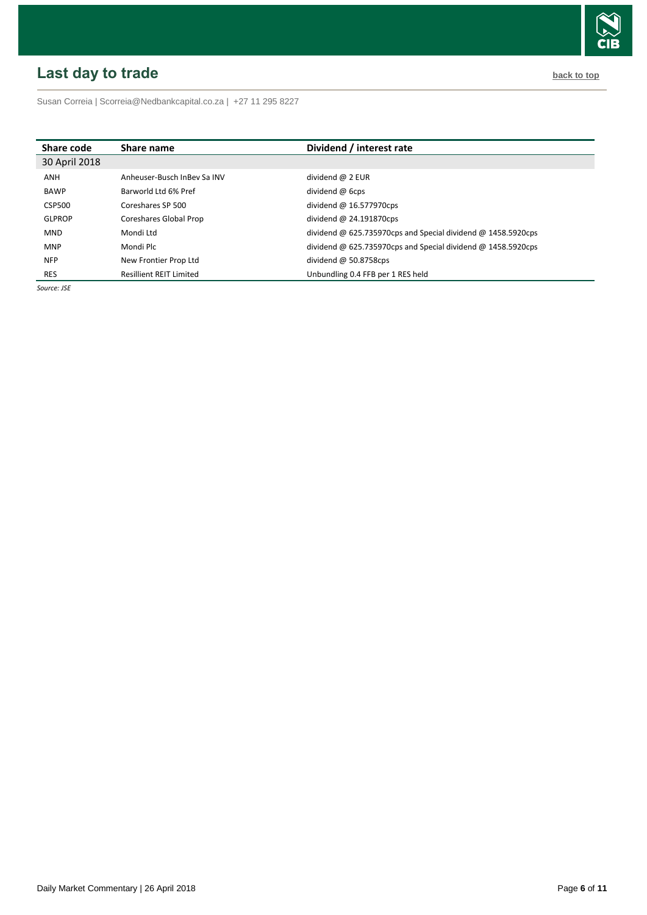# <span id="page-5-0"></span>**Last day to trade back to the contract of the contract of the contract of the contract of the contract of the contract of the contract of the contract of the contract of the contract of the contract of the contract of t**



Susan Correia [| Scorreia@Nedbankcapital.co.za](mailto:Scorreia@Nedbankcapital.co.za) | +27 11 295 8227

| Share code    | Share name                     | Dividend / interest rate                                     |
|---------------|--------------------------------|--------------------------------------------------------------|
| 30 April 2018 |                                |                                                              |
| ANH           | Anheuser-Busch InBey Sa INV    | dividend @ 2 EUR                                             |
| <b>BAWP</b>   | Barworld Ltd 6% Pref           | dividend $\omega$ 6cps                                       |
| CSP500        | Coreshares SP 500              | dividend $@$ 16.577970cps                                    |
| <b>GLPROP</b> | Coreshares Global Prop         | dividend $\omega$ 24.191870cps                               |
| <b>MND</b>    | Mondi Ltd                      | dividend @ 625.735970cps and Special dividend @ 1458.5920cps |
| <b>MNP</b>    | Mondi Plc                      | dividend @ 625.735970cps and Special dividend @ 1458.5920cps |
| <b>NFP</b>    | New Frontier Prop Ltd          | dividend $\omega$ 50.8758cps                                 |
| <b>RES</b>    | <b>Resillient REIT Limited</b> | Unbundling 0.4 FFB per 1 RES held                            |

*Source: JSE*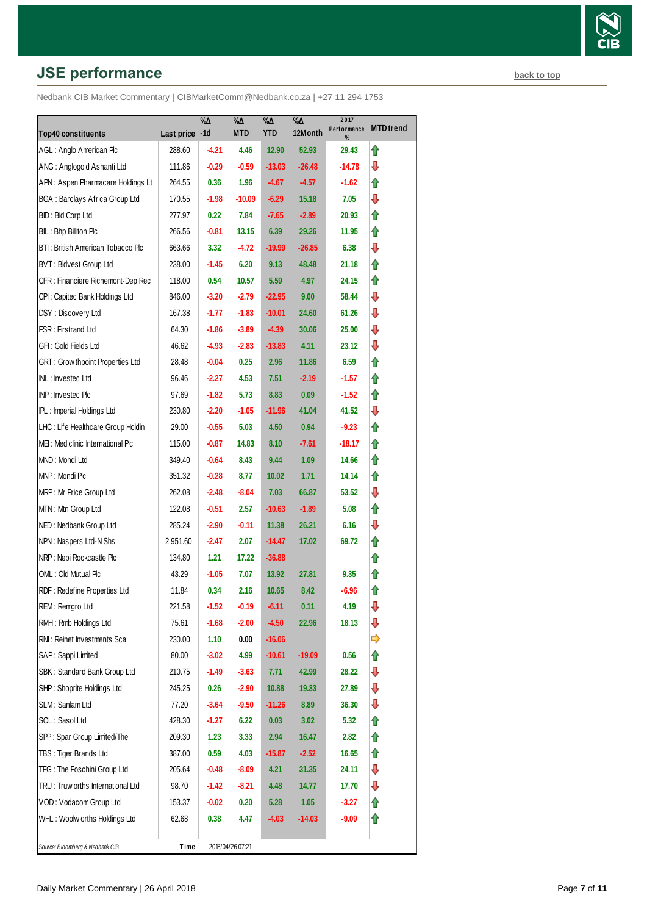# **JSE performance [back to top](#page-0-0) back to top**

| <b>Top40 constituents</b>               | Last price -1d | $\% \Delta$ | %Δ<br><b>MTD</b> | $\% \Delta$<br><b>YTD</b> | $\% \Delta$<br>12Month | 2017<br>Performance | <b>MTD</b> trend |
|-----------------------------------------|----------------|-------------|------------------|---------------------------|------------------------|---------------------|------------------|
| AGL: Anglo American Plc                 | 288.60         | -4.21       |                  | 12.90                     | 52.93                  | %<br>29.43          |                  |
| ANG: Anglogold Ashanti Ltd              | 111.86         | $-0.29$     | 4.46<br>$-0.59$  | $-13.03$                  |                        |                     | ⇑<br>⊕           |
|                                         |                |             |                  |                           | $-26.48$               | -14.78              |                  |
| APN: Aspen Pharmacare Holdings Lt       | 264.55         | 0.36        | 1.96             | $-4.67$                   | $-4.57$                | -1.62               | ⇑                |
| <b>BGA: Barclays Africa Group Ltd</b>   | 170.55         | $-1.98$     | $-10.09$         | $-6.29$                   | 15.18                  | 7.05                | ⇩                |
| BID: Bid Corp Ltd                       | 277.97         | 0.22        | 7.84             | -7.65                     | $-2.89$                | 20.93               | ⇑                |
| BIL: Bhp Billiton Plc                   | 266.56         | $-0.81$     | 13.15            | 6.39                      | 29.26                  | 11.95               | ⇑                |
| BTI: British American Tobacco Plc       | 663.66         | 3.32        | $-4.72$          | $-19.99$                  | $-26.85$               | 6.38                | ⇩                |
| BVT: Bidvest Group Ltd                  | 238.00         | $-1.45$     | 6.20             | 9.13                      | 48.48                  | 21.18               | ⇑                |
| CFR : Financiere Richemont-Dep Rec      | 118.00         | 0.54        | 10.57            | 5.59                      | 4.97                   | 24.15               | ⇑                |
| CPI: Capitec Bank Holdings Ltd          | 846.00         | $-3.20$     | $-2.79$          | $-22.95$                  | 9.00                   | 58.44               | ⊕                |
| DSY: Discovery Ltd                      | 167.38         | $-1.77$     | $-1.83$          | $-10.01$                  | 24.60                  | 61.26               | ⇩                |
| FSR: Firstrand Ltd                      | 64.30          | $-1.86$     | $-3.89$          | $-4.39$                   | 30.06                  | 25.00               | ⇩                |
| GFI : Gold Fields Ltd                   | 46.62          | -4.93       | $-2.83$          | $-13.83$                  | 4.11                   | 23.12               | ⊕                |
| <b>GRT: Grow thpoint Properties Ltd</b> | 28.48          | $-0.04$     | 0.25             | 2.96                      | 11.86                  | 6.59                | ⇑                |
| INL: Investec Ltd                       | 96.46          | $-2.27$     | 4.53             | 7.51                      | $-2.19$                | $-1.57$             | ⇑                |
| INP: Investec Plc                       | 97.69          | $-1.82$     | 5.73             | 8.83                      | 0.09                   | -1.52               | ⇑                |
| IPL: Imperial Holdings Ltd              | 230.80         | $-2.20$     | $-1.05$          | $-11.96$                  | 41.04                  | 41.52               | ⊕                |
| LHC: Life Healthcare Group Holdin       | 29.00          | $-0.55$     | 5.03             | 4.50                      | 0.94                   | $-9.23$             | ⇑                |
| MEI: Mediclinic International Plc       | 115.00         | $-0.87$     | 14.83            | 8.10                      | $-7.61$                | $-18.17$            | ⇑                |
| MND: Mondi Ltd                          | 349.40         | $-0.64$     | 8.43             | 9.44                      | 1.09                   | 14.66               | ⇑                |
| MNP: Mondi Plc                          | 351.32         | $-0.28$     | 8.77             | 10.02                     | 1.71                   | 14.14               | ⇑                |
| MRP: Mr Price Group Ltd                 | 262.08         | $-2.48$     | -8.04            | 7.03                      | 66.87                  | 53.52               | ⊕                |
| MTN: Mtn Group Ltd                      | 122.08         | $-0.51$     | 2.57             | $-10.63$                  | $-1.89$                | 5.08                | ⇑                |
| NED: Nedbank Group Ltd                  | 285.24         | $-2.90$     | $-0.11$          | 11.38                     | 26.21                  | 6.16                | ⇩                |
| NPN: Naspers Ltd-N Shs                  | 2951.60        | $-2.47$     | 2.07             | $-14.47$                  | 17.02                  | 69.72               | ⇑                |
| NRP: Nepi Rockcastle Plc                | 134.80         | 1.21        | 17.22            | $-36.88$                  |                        |                     | ⇑                |
| OML: Old Mutual Plc                     | 43.29          | $-1.05$     | 7.07             | 13.92                     | 27.81                  | 9.35                | ⇑                |
| RDF: Redefine Properties Ltd            | 11.84          | 0.34        | 2.16             | 10.65                     | 8.42                   | $-6.96$             | ⇑                |
| REM: Remgro Ltd                         | 221.58         | $-1.52$     | $-0.19$          | $-6.11$                   | 0.11                   | 4.19                | ⇩                |
| RMH : Rmb Holdings Ltd                  | 75.61          | $-1.68$     | $-2.00$          | $-4.50$                   | 22.96                  | 18.13               | ⇩                |
| RNI: Reinet Investments Sca             | 230.00         | 1.10        | 0.00             | $-16.06$                  |                        |                     | ➾                |
| SAP: Sappi Limited                      | 80.00          | $-3.02$     | 4.99             | $-10.61$                  | $-19.09$               | 0.56                | ⇑                |
| SBK: Standard Bank Group Ltd            | 210.75         | $-1.49$     | $-3.63$          | 7.71                      | 42.99                  | 28.22               | ⇩                |
| SHP: Shoprite Holdings Ltd              | 245.25         | 0.26        | $-2.90$          | 10.88                     | 19.33                  | 27.89               | ⊕                |
| SLM: Sanlam Ltd                         | 77.20          | $-3.64$     | $-9.50$          | $-11.26$                  | 8.89                   | 36.30               | ⇩                |
| SOL: Sasol Ltd                          | 428.30         | $-1.27$     | 6.22             | 0.03                      | 3.02                   | 5.32                | ⇑                |
| SPP: Spar Group Limited/The             | 209.30         | 1.23        | 3.33             | 2.94                      | 16.47                  | 2.82                | ⇮                |
| TBS: Tiger Brands Ltd                   | 387.00         | 0.59        | 4.03             | $-15.87$                  | $-2.52$                | 16.65               | ⇮                |
| TFG: The Foschini Group Ltd             | 205.64         | $-0.48$     | $-8.09$          | 4.21                      | 31.35                  | 24.11               | ⇩                |
| TRU: Truw orths International Ltd       | 98.70          | $-1.42$     | $-8.21$          | 4.48                      | 14.77                  | 17.70               | ⇩                |
| VOD: Vodacom Group Ltd                  | 153.37         | $-0.02$     | 0.20             | 5.28                      | 1.05                   | $-3.27$             | ⇮                |
| WHL: Woolw orths Holdings Ltd           | 62.68          | 0.38        | 4.47             | -4.03                     | $-14.03$               | $-9.09$             | ⇑                |
|                                         | Time           |             | 2018/04/26 07:21 |                           |                        |                     |                  |
| Source: Bloomberg & Nedbank CIB         |                |             |                  |                           |                        |                     |                  |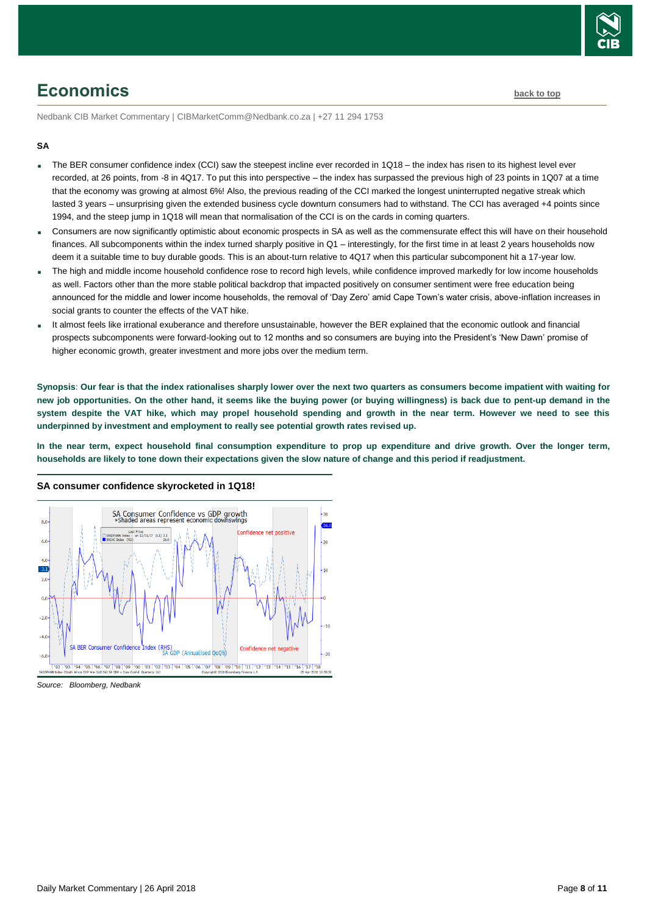

# <span id="page-7-0"></span>**Economics [back to top](#page-0-0)**

Nedbank CIB Market Commentary | CIBMarketComm@Nedbank.co.za | +27 11 294 1753

#### **SA**

- The BER consumer confidence index (CCI) saw the steepest incline ever recorded in 1Q18 the index has risen to its highest level ever recorded, at 26 points, from -8 in 4Q17. To put this into perspective – the index has surpassed the previous high of 23 points in 1Q07 at a time that the economy was growing at almost 6%! Also, the previous reading of the CCI marked the longest uninterrupted negative streak which lasted 3 years – unsurprising given the extended business cycle downturn consumers had to withstand. The CCI has averaged +4 points since 1994, and the steep jump in 1Q18 will mean that normalisation of the CCI is on the cards in coming quarters.
- Consumers are now significantly optimistic about economic prospects in SA as well as the commensurate effect this will have on their household finances. All subcomponents within the index turned sharply positive in Q1 – interestingly, for the first time in at least 2 years households now deem it a suitable time to buy durable goods. This is an about-turn relative to 4Q17 when this particular subcomponent hit a 17-year low.
- The high and middle income household confidence rose to record high levels, while confidence improved markedly for low income households as well. Factors other than the more stable political backdrop that impacted positively on consumer sentiment were free education being announced for the middle and lower income households, the removal of 'Day Zero' amid Cape Town's water crisis, above-inflation increases in social grants to counter the effects of the VAT hike.
- It almost feels like irrational exuberance and therefore unsustainable, however the BER explained that the economic outlook and financial prospects subcomponents were forward-looking out to 12 months and so consumers are buying into the President's 'New Dawn' promise of higher economic growth, greater investment and more jobs over the medium term.

**Synopsis**: **Our fear is that the index rationalises sharply lower over the next two quarters as consumers become impatient with waiting for new job opportunities. On the other hand, it seems like the buying power (or buying willingness) is back due to pent-up demand in the system despite the VAT hike, which may propel household spending and growth in the near term. However we need to see this underpinned by investment and employment to really see potential growth rates revised up.** 

In the near term, expect household final consumption expenditure to prop up expenditure and drive growth. Over the longer term, **households are likely to tone down their expectations given the slow nature of change and this period if readjustment.**



#### **SA consumer confidence skyrocketed in 1Q18!**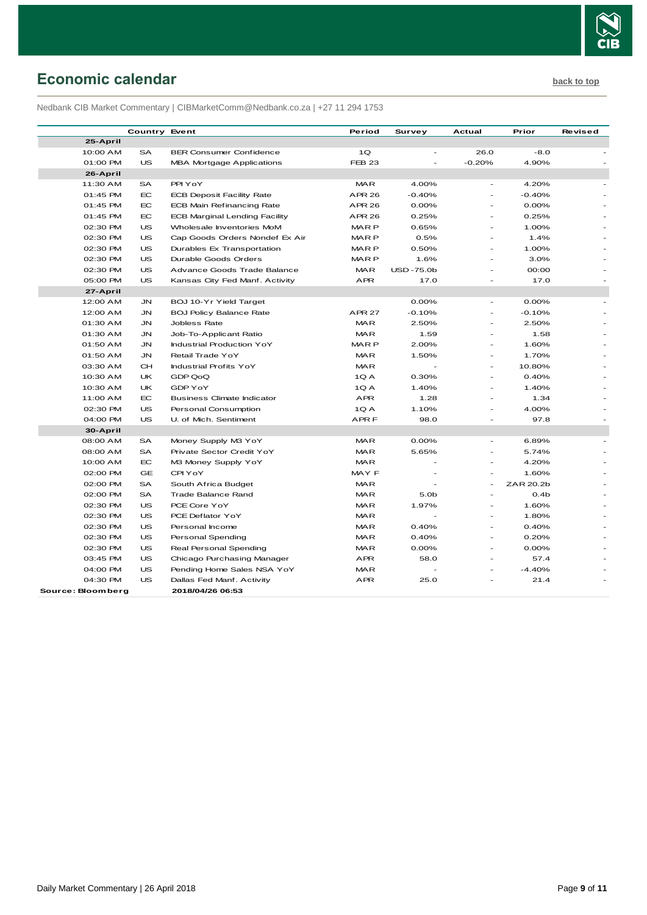

# <span id="page-8-0"></span>**Economic calendar [back to top](#page-0-0)**

Nedbank CIB Market Commentary | CIBMarketComm@Nedbank.co.za | +27 11 294 1753

|                   | <b>Country Event</b> |                                      | Period           | Survey           | Actual                   | Prior            | Revised |
|-------------------|----------------------|--------------------------------------|------------------|------------------|--------------------------|------------------|---------|
| 25-April          |                      |                                      |                  |                  |                          |                  |         |
| 10:00 AM          | SA                   | <b>BER Consumer Confidence</b>       | 1Q               |                  | 26.0                     | $-8.0$           |         |
| 01:00 PM          | <b>US</b>            | MBA Mortgage Applications            | <b>FEB 23</b>    | $\sim$           | $-0.20%$                 | 4.90%            |         |
| 26-April          |                      |                                      |                  |                  |                          |                  |         |
| 11:30 AM          | SA                   | PPI YoY                              | <b>MAR</b>       | 4.00%            |                          | 4.20%            |         |
| 01:45 PM          | EC                   | <b>ECB Deposit Facility Rate</b>     | <b>APR 26</b>    | $-0.40%$         | $\overline{\phantom{a}}$ | $-0.40%$         |         |
| 01:45 PM          | <b>EC</b>            | ECB Main Refinancing Rate            | <b>APR 26</b>    | 0.00%            |                          | 0.00%            |         |
| 01:45 PM          | EC.                  | <b>ECB Marginal Lending Facility</b> | <b>APR 26</b>    | 0.25%            |                          | 0.25%            |         |
| 02:30 PM          | US                   | Wholesale Inventories MoM            | <b>MARP</b>      | 0.65%            | $\overline{\phantom{a}}$ | 1.00%            |         |
| 02:30 PM          | US                   | Cap Goods Orders Nondef Ex Air       | <b>MARP</b>      | 0.5%             |                          | 1.4%             |         |
| 02:30 PM          | <b>US</b>            | Durables Ex Transportation           | MAR <sub>P</sub> | 0.50%            |                          | 1.00%            |         |
| 02:30 PM          | <b>US</b>            | Durable Goods Orders                 | <b>MARP</b>      | 1.6%             | $\overline{a}$           | 3.0%             |         |
| 02:30 PM          | US                   | Advance Goods Trade Balance          | <b>MAR</b>       | <b>USD-75.0b</b> | $\overline{a}$           | 00:00            |         |
| 05:00 PM          | <b>US</b>            | Kansas City Fed Manf. Activity       | APR              | 17.0             |                          | 17.0             |         |
| 27-April          |                      |                                      |                  |                  |                          |                  |         |
| 12:00 AM          | JN.                  | BOJ 10-Yr Yield Target               |                  | $0.00\%$         | $\overline{\phantom{m}}$ | $0.00\%$         |         |
| 12:00 AM          | JN                   | <b>BOJ Policy Balance Rate</b>       | <b>APR 27</b>    | $-0.10%$         |                          | $-0.10%$         |         |
| 01:30 AM          | JN                   | Jobless Rate                         | <b>MAR</b>       | 2.50%            | ÷.                       | 2.50%            |         |
| 01:30 AM          | JN                   | Job-To-Applicant Ratio               | <b>MAR</b>       | 1.59             | $\overline{\phantom{a}}$ | 1.58             |         |
| 01:50 AM          | JN                   | <b>Industrial Production YoY</b>     | MAR <sub>P</sub> | 2.00%            |                          | 1.60%            |         |
| 01:50 AM          | JN                   | Retail Trade YoY                     | <b>MAR</b>       | 1.50%            |                          | 1.70%            |         |
| 03:30 AM          | <b>CH</b>            | Industrial Profits YoY               | <b>MAR</b>       |                  | $\overline{\phantom{a}}$ | 10.80%           |         |
| 10:30 AM          | UK                   | GDP QoQ                              | 1QA              | 0.30%            |                          | 0.40%            |         |
| 10:30 AM          | UK                   | GDP Y o Y                            | 1QA              | 1.40%            |                          | 1.40%            |         |
| 11:00 AM          | EC                   | <b>Business Climate Indicator</b>    | APR              | 1.28             | $\overline{\phantom{a}}$ | 1.34             |         |
| 02:30 PM          | US                   | Personal Consumption                 | 1QA              | 1.10%            |                          | 4.00%            |         |
| 04:00 PM          | <b>US</b>            | U. of Mich. Sentiment                | APR F            | 98.0             | $\sim$                   | 97.8             |         |
| 30-April          |                      |                                      |                  |                  |                          |                  |         |
| 08:00 AM          | SA                   | Money Supply M3 YoY                  | <b>MAR</b>       | 0.00%            | ÷.                       | 6.89%            |         |
| 08:00 AM          | SA                   | Private Sector Credit YoY            | <b>MAR</b>       | 5.65%            | ÷.                       | 5.74%            |         |
| 10:00 AM          | EC                   | M3 Money Supply YoY                  | <b>MAR</b>       |                  | $\sim$                   | 4.20%            |         |
| 02:00 PM          | <b>GE</b>            | CPI YoY                              | MAY F            |                  | $\overline{\phantom{a}}$ | 1.60%            |         |
| 02:00 PM          | <b>SA</b>            | South Africa Budget                  | <b>MAR</b>       |                  |                          | ZAR 20.2b        |         |
| 02:00 PM          | <b>SA</b>            | Trade Balance Rand                   | <b>MAR</b>       | 5.0 <sub>b</sub> |                          | 0.4 <sub>b</sub> |         |
| 02:30 PM          | <b>US</b>            | PCE Core YoY                         | <b>MAR</b>       | 1.97%            | $\overline{\phantom{a}}$ | 1.60%            |         |
| 02:30 PM          | US                   | PCE Deflator YoY                     | <b>MAR</b>       |                  | $\overline{\phantom{a}}$ | 1.80%            |         |
| 02:30 PM          | <b>US</b>            | Personal Income                      | <b>MAR</b>       | 0.40%            | ÷.                       | 0.40%            |         |
| 02:30 PM          | US                   | Personal Spending                    | <b>MAR</b>       | 0.40%            | $\overline{\phantom{a}}$ | 0.20%            |         |
| 02:30 PM          | US                   | Real Personal Spending               | MAR              | $0.00\%$         |                          | 0.00%            |         |
| 03:45 PM          | US                   | Chicago Purchasing Manager           | APR              | 58.0             |                          | 57.4             |         |
| 04:00 PM          | US                   | Pending Home Sales NSA YoY           | <b>MAR</b>       |                  |                          | $-4.40%$         |         |
| 04:30 PM          | <b>US</b>            | Dallas Fed Manf. Activity            | <b>APR</b>       | 25.0             |                          | 21.4             |         |
| Source: Bloomberg |                      | 2018/04/26 06:53                     |                  |                  |                          |                  |         |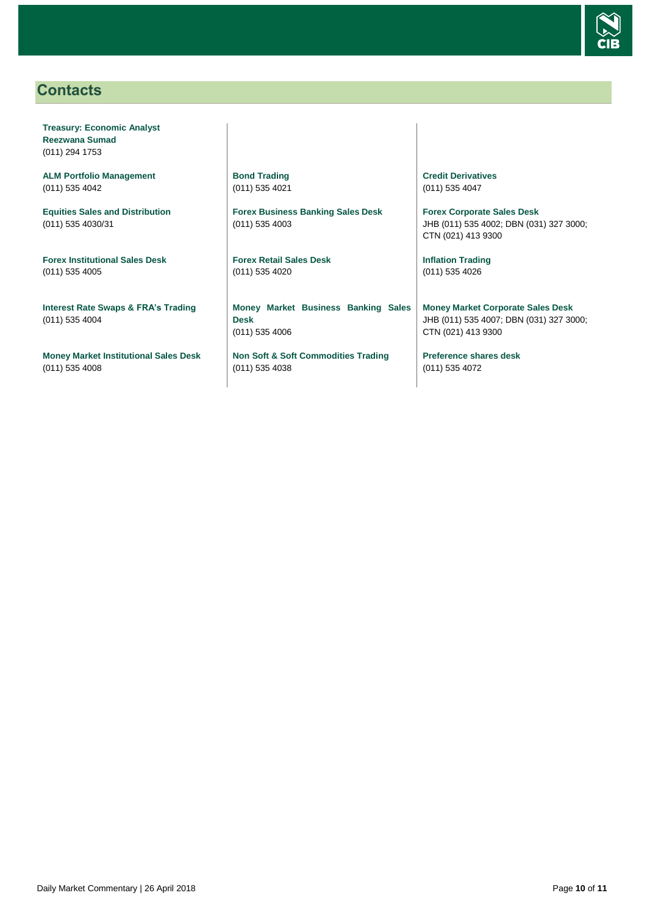

# <span id="page-9-0"></span>**Contacts**

**Treasury: Economic Analyst Reezwana Sumad** (011) 294 1753

**ALM Portfolio Management** (011) 535 4042

**Equities Sales and Distribution** (011) 535 4030/31

**Forex Institutional Sales Desk** (011) 535 4005

**Interest Rate Swaps & FRA's Trading** (011) 535 4004

**Money Market Institutional Sales Desk** (011) 535 4008

**Bond Trading** (011) 535 4021

**Forex Business Banking Sales Desk** (011) 535 4003

**Forex Retail Sales Desk** (011) 535 4020

**Money Market Business Banking Sales Desk** (011) 535 4006

**Non Soft & Soft Commodities Trading** (011) 535 4038

**Credit Derivatives**  (011) 535 4047

**Forex Corporate Sales Desk** JHB (011) 535 4002; DBN (031) 327 3000; CTN (021) 413 9300

**Inflation Trading** (011) 535 4026

**Money Market Corporate Sales Desk** JHB (011) 535 4007; DBN (031) 327 3000; CTN (021) 413 9300

**Preference shares desk** (011) 535 4072